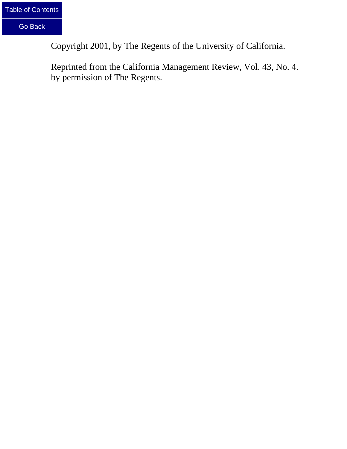Table of Contents

Go Back

Copyright 2001, by The Regents of the University of California.

Reprinted from the California Management Review, Vol. 43, No. 4. by permission of The Regents.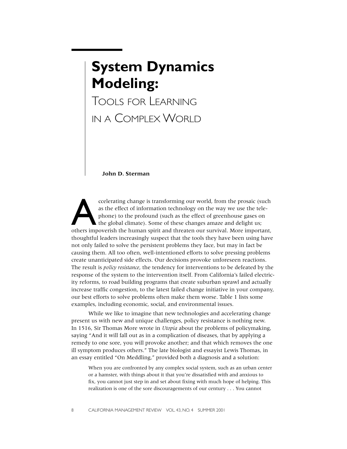# **System Dynamics Modeling:**

TOOLS FOR LEARNING IN A COMPLEX WORLD

**John D. Sterman**

celerating change is transforming our world, from the prosaic (such<br>as the effect of information technology on the way we use the tele-<br>phone) to the profound (such as the effect of greenhouse gases on<br>the global climate). as the effect of information technology on the way we use the telephone) to the profound (such as the effect of greenhouse gases on the global climate). Some of these changes amaze and delight us; thoughtful leaders increasingly suspect that the tools they have been using have not only failed to solve the persistent problems they face, but may in fact be causing them. All too often, well-intentioned efforts to solve pressing problems create unanticipated side effects. Our decisions provoke unforeseen reactions. The result is *policy resistance*, the tendency for interventions to be defeated by the response of the system to the intervention itself. From California's failed electricity reforms, to road building programs that create suburban sprawl and actually increase traffic congestion, to the latest failed change initiative in your company, our best efforts to solve problems often make them worse. Table 1 lists some examples, including economic, social, and environmental issues.

While we like to imagine that new technologies and accelerating change present us with new and unique challenges, policy resistance is nothing new. In 1516, Sir Thomas More wrote in *Utopia* about the problems of policymaking, saying "And it will fall out as in a complication of diseases, that by applying a remedy to one sore, you will provoke another; and that which removes the one ill symptom produces others." The late biologist and essayist Lewis Thomas, in an essay entitled "On Meddling," provided both a diagnosis and a solution:

When you are confronted by any complex social system, such as an urban center or a hamster, with things about it that you're dissatisfied with and anxious to fix, you cannot just step in and set about fixing with much hope of helping. This realization is one of the sore discouragements of our century . . . You cannot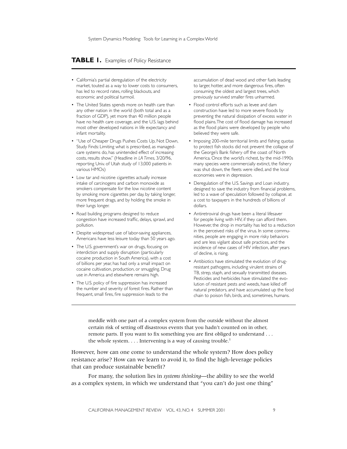## **TABLE 1.** Examples of Policy Resistance

- California's partial deregulation of the electricity market, touted as a way to lower costs to consumers, has led to record rates, rolling blackouts, and economic and political turmoil.
- The United States spends more on health care than any other nation in the world (both total and as a fraction of GDP), yet more than 40 million people have no health care coverage, and the U.S. lags behind most other developed nations in life expectancy and infant mortality.
- "Use of Cheaper Drugs Pushes Costs Up, Not Down, Study Finds: Limiting what is prescribed, as managedcare systems do, has unintended effect of increasing costs, results show." (Headline in *LA Times*, 3/20/96, reporting Univ. of Utah study of 13,000 patients in various HMOs)
- Low tar and nicotine cigarettes actually increase intake of carcinogens and carbon monoxide as smokers compensate for the low nicotine content by smoking more cigarettes per day, by taking longer, more frequent drags, and by holding the smoke in their lungs longer.
- Road building programs designed to reduce congestion have increased traffic, delays, sprawl, and pollution.
- Despite widespread use of labor-saving appliances, Americans have less leisure today than 50 years ago.
- The U.S. government's war on drugs, focusing on interdiction and supply disruption (particularly cocaine production in South America), with a cost of billions per year, has had only a small impact on cocaine cultivation, production, or smuggling. Drug use in America and elsewhere remains high.
- The U.S. policy of fire suppression has increased the number and severity of forest fires. Rather than frequent, small fires, fire suppression leads to the

accumulation of dead wood and other fuels leading to larger, hotter, and more dangerous fires, often consuming the oldest and largest trees, which previously survived smaller fires unharmed.

- Flood control efforts such as levee and dam construction have led to more severe floods by preventing the natural dissipation of excess water in flood plains.The cost of flood damage has increased as the flood plains were developed by people who believed they were safe.
- Imposing 200-mile territorial limits and fishing quotas to protect fish stocks did not prevent the collapse of the George's Bank fishery off the coast of North America. Once the world's richest, by the mid-1990s many species were commercially extinct, the fishery was shut down, the fleets were idled, and the local economies were in depression.
- Deregulation of the U.S. Savings and Loan industry, designed to save the industry from financial problems, led to a wave of speculation followed by collapse, at a cost to taxpayers in the hundreds of billions of dollars.
- Antiretroviral drugs have been a literal lifesaver for people living with HIV, if they can afford them. However, the drop in mortality has led to a reduction in the perceived risks of the virus. In some communities, people are engaging in more risky behaviors and are less vigilant about safe practices, and the incidence of new cases of HIV infection, after years of decline, is rising.
- Antibiotics have stimulated the evolution of drugresistant pathogens, including virulent strains of TB, strep, staph, and sexually transmitted diseases. Pesticides and herbicides have stimulated the evolution of resistant pests and weeds, have killed off natural predators, and have accumulated up the food chain to poison fish, birds, and, sometimes, humans.

meddle with one part of a complex system from the outside without the almost certain risk of setting off disastrous events that you hadn't counted on in other, remote parts. If you want to fix something you are first obliged to understand . . . the whole system.  $\dots$  Intervening is a way of causing trouble.<sup>1</sup>

However, how can one come to understand the whole system? How does policy resistance arise? How can we learn to avoid it, to find the high-leverage policies that can produce sustainable benefit?

For many, the solution lies in *systems thinking*—the ability to see the world as a complex system, in which we understand that "you can't do just one thing"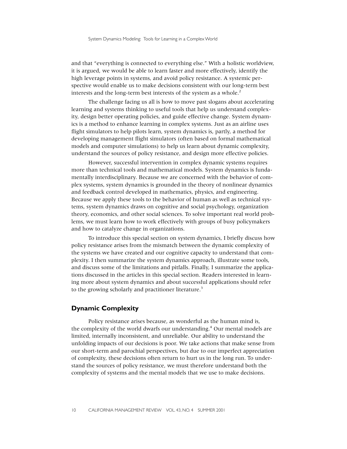and that "everything is connected to everything else." With a holistic worldview, it is argued, we would be able to learn faster and more effectively, identify the high leverage points in systems, and avoid policy resistance. A systemic perspective would enable us to make decisions consistent with our long-term best interests and the long-term best interests of the system as a whole.<sup>2</sup>

The challenge facing us all is how to move past slogans about accelerating learning and systems thinking to useful tools that help us understand complexity, design better operating policies, and guide effective change. System dynamics is a method to enhance learning in complex systems. Just as an airline uses flight simulators to help pilots learn, system dynamics is, partly, a method for developing management flight simulators (often based on formal mathematical models and computer simulations) to help us learn about dynamic complexity, understand the sources of policy resistance, and design more effective policies.

However, successful intervention in complex dynamic systems requires more than technical tools and mathematical models. System dynamics is fundamentally interdisciplinary. Because we are concerned with the behavior of complex systems, system dynamics is grounded in the theory of nonlinear dynamics and feedback control developed in mathematics, physics, and engineering. Because we apply these tools to the behavior of human as well as technical systems, system dynamics draws on cognitive and social psychology, organization theory, economics, and other social sciences. To solve important real world problems, we must learn how to work effectively with groups of busy policymakers and how to catalyze change in organizations.

To introduce this special section on system dynamics, I briefly discuss how policy resistance arises from the mismatch between the dynamic complexity of the systems we have created and our cognitive capacity to understand that complexity. I then summarize the system dynamics approach, illustrate some tools, and discuss some of the limitations and pitfalls. Finally, I summarize the applications discussed in the articles in this special section. Readers interested in learning more about system dynamics and about successful applications should refer to the growing scholarly and practitioner literature.<sup>3</sup>

# **Dynamic Complexity**

Policy resistance arises because, as wonderful as the human mind is, the complexity of the world dwarfs our understanding.<sup>4</sup> Our mental models are limited, internally inconsistent, and unreliable. Our ability to understand the unfolding impacts of our decisions is poor. We take actions that make sense from our short-term and parochial perspectives, but due to our imperfect appreciation of complexity, these decisions often return to hurt us in the long run. To understand the sources of policy resistance, we must therefore understand both the complexity of systems and the mental models that we use to make decisions.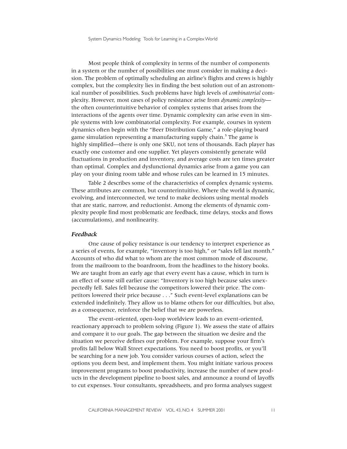Most people think of complexity in terms of the number of components in a system or the number of possibilities one must consider in making a decision. The problem of optimally scheduling an airline's flights and crews is highly complex, but the complexity lies in finding the best solution out of an astronomical number of possibilities. Such problems have high levels of *combinatorial* complexity. However, most cases of policy resistance arise from *dynamic complexity* the often counterintuitive behavior of complex systems that arises from the interactions of the agents over time*.* Dynamic complexity can arise even in simple systems with low combinatorial complexity. For example, courses in system dynamics often begin with the "Beer Distribution Game," a role-playing board game simulation representing a manufacturing supply chain.<sup>5</sup> The game is highly simplified—there is only one SKU, not tens of thousands. Each player has exactly one customer and one supplier. Yet players consistently generate wild fluctuations in production and inventory, and average costs are ten times greater than optimal. Complex and dysfunctional dynamics arise from a game you can play on your dining room table and whose rules can be learned in 15 minutes.

Table 2 describes some of the characteristics of complex dynamic systems. These attributes are common, but counterintuitive. Where the world is dynamic, evolving, and interconnected, we tend to make decisions using mental models that are static, narrow, and reductionist. Among the elements of dynamic complexity people find most problematic are feedback, time delays, stocks and flows (accumulations), and nonlinearity.

#### *Feedback*

One cause of policy resistance is our tendency to interpret experience as a series of events, for example, "inventory is too high," or "sales fell last month." Accounts of who did what to whom are the most common mode of discourse, from the mailroom to the boardroom, from the headlines to the history books. We are taught from an early age that every event has a cause, which in turn is an effect of some still earlier cause: "Inventory is too high because sales unexpectedly fell. Sales fell because the competitors lowered their price. The competitors lowered their price because . . ." Such event-level explanations can be extended indefinitely. They allow us to blame others for our difficulties, but also, as a consequence, reinforce the belief that we are powerless.

The event-oriented, open-loop worldview leads to an event-oriented, reactionary approach to problem solving (Figure 1). We assess the state of affairs and compare it to our goals. The gap between the situation we desire and the situation we perceive defines our problem. For example, suppose your firm's profits fall below Wall Street expectations. You need to boost profits, or you'll be searching for a new job. You consider various courses of action, select the options you deem best, and implement them. You might initiate various process improvement programs to boost productivity, increase the number of new products in the development pipeline to boost sales, and announce a round of layoffs to cut expenses. Your consultants, spreadsheets, and pro forma analyses suggest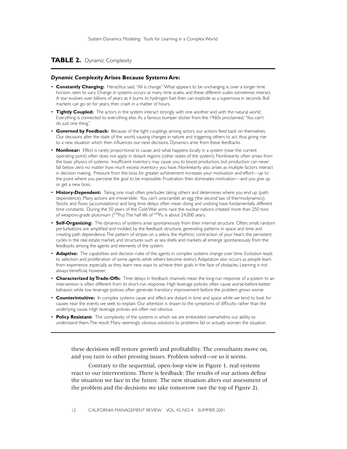## **TABLE 2.** Dynamic Complexity

#### *Dynamic Complexity* **Arises Because Systems Are:**

- **Constantly Changing:** Heraclitus said,"All is change."What appears to be unchanging is, over a longer time horizon, seen to vary. Change in systems occurs at many time scales, and these different scales sometimes interact. A star evolves over billions of years as it burns its hydrogen fuel, then can explode as a supernova in seconds. Bull markets can go on for years, then crash in a matter of hours.
- **Tightly Coupled:** The actors in the system interact strongly with one another and with the natural world. Everything is connected to everything else.As a famous bumper sticker from the 1960s proclaimed,"You can't do just one thing."
- **Governed by Feedback:** Because of the tight couplings among actors, our actions feed back on themselves. Our decisions alter the state of the world, causing changes in nature and triggering others to act, thus giving rise to a new situation which then influences our next decisions. Dynamics arise from these feedbacks.
- **Nonlinear:** Effect is rarely proportional to cause, and what happens locally in a system (near the current operating point) often does not apply in distant regions (other states of the system). Nonlinearity often arises from the basic physics of systems: Insufficient inventory may cause you to boost production, but production can never fall below zero no matter how much excess inventory you have. Nonlinearity also arises as multiple factors interact in decision making: Pressure from the boss for greater achievement increases your motivation and effort—up to the point where you perceive the goal to be impossible. Frustration then dominates motivation—and you give up or get a new boss.
- **History-Dependent:** Taking one road often precludes taking others and determines where you end up (path dependence). Many actions are irreversible: You can't unscramble an egg (the second law of thermodynamics). Stocks and flows (accumulations) and long time delays often mean doing and undoing have fundamentally different time constants: During the 50 years of the Cold War arms race the nuclear nations created more than 250 tons of weapons-grade plutonium  $(^{239}$ Pu). The half life of  $^{239}$ Pu is about 24,000 years.
- **Self-Organizing:** The dynamics of systems arise spontaneously from their internal structure. Often, small, random perturbations are amplified and molded by the feedback structure, generating patterns in space and time and creating path dependence.The pattern of stripes on a zebra, the rhythmic contraction of your heart, the persistent cycles in the real estate market, and structures such as sea shells and markets all emerge spontaneously from the feedbacks among the agents and elements of the system.
- **Adaptive:** The capabilities and decision rules of the agents in complex systems change over time. Evolution leads to selection and proliferation of some agents while others become extinct.Adaptation also occurs as people learn from experience, especially as they learn new ways to achieve their goals in the face of obstacles. Learning is not always beneficial, however.
- **Characterized by Trade-Offs:** Time delays in feedback channels mean the long-run response of a system to an intervention is often different from its short-run response. High leverage policies often cause worse-before-better behavior, while low leverage policies often generate transitory improvement before the problem grows worse.
- **Counterintuitive:** In complex systems cause and effect are distant in time and space while we tend to look for causes near the events we seek to explain. Our attention is drawn to the symptoms of difficulty rather than the underlying cause. High leverage policies are often not obvious.
- **Policy Resistant:** The complexity of the systems in which we are embedded overwhelms our ability to understand them.The result: Many seemingly obvious solutions to problems fail or actually worsen the situation.

these decisions will restore growth and profitability. The consultants move on, and you turn to other pressing issues. Problem solved—or so it seems.

Contrary to the sequential, open-loop view in Figure 1, real systems react to our interventions. There is feedback: The results of our actions define the situation we face in the future. The new situation alters our assessment of the problem and the decisions we take tomorrow (see the top of Figure 2).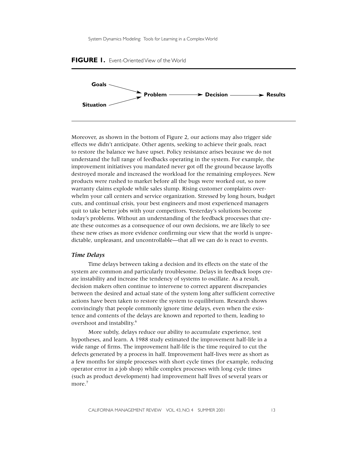



Moreover, as shown in the bottom of Figure 2, our actions may also trigger side effects we didn't anticipate. Other agents, seeking to achieve their goals, react to restore the balance we have upset. Policy resistance arises because we do not understand the full range of feedbacks operating in the system. For example, the improvement initiatives you mandated never got off the ground because layoffs destroyed morale and increased the workload for the remaining employees. New products were rushed to market before all the bugs were worked out, so now warranty claims explode while sales slump. Rising customer complaints overwhelm your call centers and service organization. Stressed by long hours, budget cuts, and continual crisis, your best engineers and most experienced managers quit to take better jobs with your competitors. Yesterday's solutions become today's problems. Without an understanding of the feedback processes that create these outcomes as a consequence of our own decisions, we are likely to see these new crises as more evidence confirming our view that the world is unpredictable, unpleasant, and uncontrollable—that all we can do is react to events.

#### *Time Delays*

Time delays between taking a decision and its effects on the state of the system are common and particularly troublesome. Delays in feedback loops create instability and increase the tendency of systems to oscillate. As a result, decision makers often continue to intervene to correct apparent discrepancies between the desired and actual state of the system long after sufficient corrective actions have been taken to restore the system to equilibrium. Research shows convincingly that people commonly ignore time delays, even when the existence and contents of the delays are known and reported to them, leading to overshoot and instability.<sup>6</sup>

More subtly, delays reduce our ability to accumulate experience, test hypotheses, and learn. A 1988 study estimated the improvement half-life in a wide range of firms. The improvement half-life is the time required to cut the defects generated by a process in half. Improvement half-lives were as short as a few months for simple processes with short cycle times (for example, reducing operator error in a job shop) while complex processes with long cycle times (such as product development) had improvement half lives of several years or more.<sup>7</sup>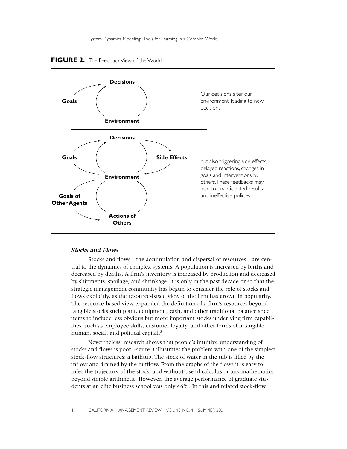

#### *Stocks and Flows*

Stocks and flows—the accumulation and dispersal of resources—are central to the dynamics of complex systems. A population is increased by births and decreased by deaths. A firm's inventory is increased by production and decreased by shipments, spoilage, and shrinkage. It is only in the past decade or so that the strategic management community has begun to consider the role of stocks and flows explicitly, as the resource-based view of the firm has grown in popularity. The resource-based view expanded the definition of a firm's resources beyond tangible stocks such plant, equipment, cash, and other traditional balance sheet items to include less obvious but more important stocks underlying firm capabilities, such as employee skills, customer loyalty, and other forms of intangible human, social, and political capital.<sup>8</sup>

Nevertheless, research shows that people's intuitive understanding of stocks and flows is poor. Figure 3 illustrates the problem with one of the simplest stock-flow structures: a bathtub. The stock of water in the tub is filled by the inflow and drained by the outflow. From the graphs of the flows it is easy to infer the trajectory of the stock, and without use of calculus or any mathematics beyond simple arithmetic. However, the average performance of graduate students at an elite business school was only 46%. In this and related stock-flow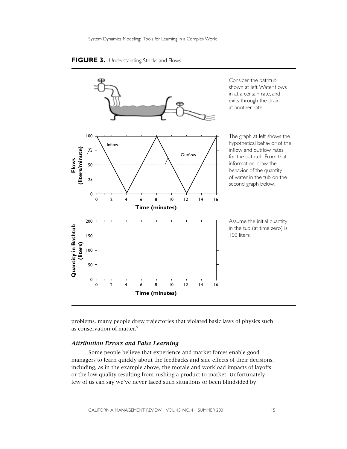

# **FIGURE 3.** Understanding Stocks and Flows

problems, many people drew trajectories that violated basic laws of physics such as conservation of matter.<sup>9</sup>

## *Attribution Errors and False Learning*

Some people believe that experience and market forces enable good managers to learn quickly about the feedbacks and side effects of their decisions, including, as in the example above, the morale and workload impacts of layoffs or the low quality resulting from rushing a product to market. Unfortunately, few of us can say we've never faced such situations or been blindsided by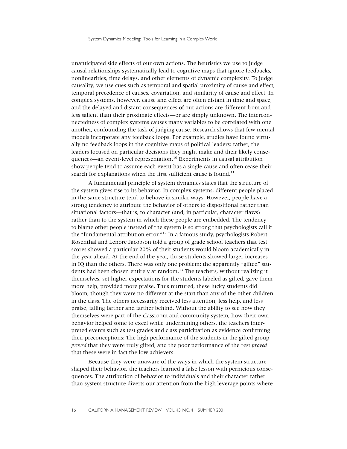unanticipated side effects of our own actions. The heuristics we use to judge causal relationships systematically lead to cognitive maps that ignore feedbacks, nonlinearities, time delays, and other elements of dynamic complexity. To judge causality, we use cues such as temporal and spatial proximity of cause and effect, temporal precedence of causes, covariation, and similarity of cause and effect. In complex systems, however, cause and effect are often distant in time and space, and the delayed and distant consequences of our actions are different from and less salient than their proximate effects—or are simply unknown. The interconnectedness of complex systems causes many variables to be correlated with one another, confounding the task of judging cause. Research shows that few mental models incorporate any feedback loops. For example, studies have found virtually no feedback loops in the cognitive maps of political leaders; rather, the leaders focused on particular decisions they might make and their likely consequences—an event-level representation.<sup>10</sup> Experiments in causal attribution show people tend to assume each event has a single cause and often cease their search for explanations when the first sufficient cause is found.<sup>11</sup>

A fundamental principle of system dynamics states that the structure of the system gives rise to its behavior. In complex systems, different people placed in the same structure tend to behave in similar ways. However, people have a strong tendency to attribute the behavior of others to dispositional rather than situational factors—that is, to character (and, in particular, character flaws) rather than to the system in which these people are embedded. The tendency to blame other people instead of the system is so strong that psychologists call it the "fundamental attribution error."12 In a famous study, psychologists Robert Rosenthal and Lenore Jacobson told a group of grade school teachers that test scores showed a particular 20% of their students would bloom academically in the year ahead. At the end of the year, those students showed larger increases in IQ than the others. There was only one problem: the apparently "gifted" students had been chosen entirely at random.<sup>13</sup> The teachers, without realizing it themselves, set higher expectations for the students labeled as gifted, gave them more help, provided more praise. Thus nurtured, these lucky students did bloom, though they were no different at the start than any of the other children in the class. The others necessarily received less attention, less help, and less praise, falling farther and farther behind. Without the ability to see how they themselves were part of the classroom and community system, how their own behavior helped some to excel while undermining others, the teachers interpreted events such as test grades and class participation as evidence confirming their preconceptions: The high performance of the students in the gifted group *proved* that they were truly gifted, and the poor performance of the rest *proved* that these were in fact the low achievers.

Because they were unaware of the ways in which the system structure shaped their behavior, the teachers learned a false lesson with pernicious consequences. The attribution of behavior to individuals and their character rather than system structure diverts our attention from the high leverage points where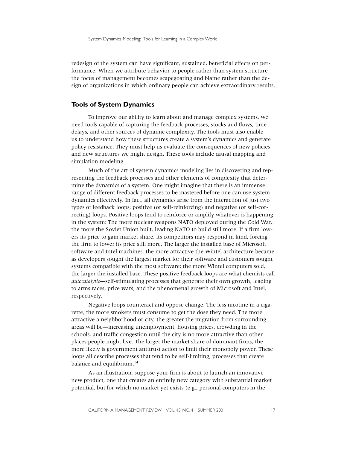redesign of the system can have significant, sustained, beneficial effects on performance. When we attribute behavior to people rather than system structure the focus of management becomes scapegoating and blame rather than the design of organizations in which ordinary people can achieve extraordinary results.

# **Tools of System Dynamics**

To improve our ability to learn about and manage complex systems, we need tools capable of capturing the feedback processes, stocks and flows, time delays, and other sources of dynamic complexity. The tools must also enable us to understand how these structures create a system's dynamics and generate policy resistance. They must help us evaluate the consequences of new policies and new structures we might design. These tools include causal mapping and simulation modeling.

Much of the art of system dynamics modeling lies in discovering and representing the feedback processes and other elements of complexity that determine the dynamics of a system. One might imagine that there is an immense range of different feedback processes to be mastered before one can use system dynamics effectively. In fact, all dynamics arise from the interaction of just two types of feedback loops, positive (or self-reinforcing) and negative (or self-correcting) loops. Positive loops tend to reinforce or amplify whatever is happening in the system: The more nuclear weapons NATO deployed during the Cold War, the more the Soviet Union built, leading NATO to build still more. If a firm lowers its price to gain market share, its competitors may respond in kind, forcing the firm to lower its price still more. The larger the installed base of Microsoft software and Intel machines, the more attractive the Wintel architecture became as developers sought the largest market for their software and customers sought systems compatible with the most software; the more Wintel computers sold, the larger the installed base. These positive feedback loops are what chemists call *autocatalytic*—self-stimulating processes that generate their own growth, leading to arms races, price wars, and the phenomenal growth of Microsoft and Intel, respectively.

Negative loops counteract and oppose change. The less nicotine in a cigarette, the more smokers must consume to get the dose they need. The more attractive a neighborhood or city, the greater the migration from surrounding areas will be—increasing unemployment, housing prices, crowding in the schools, and traffic congestion until the city is no more attractive than other places people might live. The larger the market share of dominant firms, the more likely is government antitrust action to limit their monopoly power. These loops all describe processes that tend to be self-limiting, processes that create balance and equilibrium. $14$ 

As an illustration, suppose your firm is about to launch an innovative new product, one that creates an entirely new category with substantial market potential, but for which no market yet exists (e.g., personal computers in the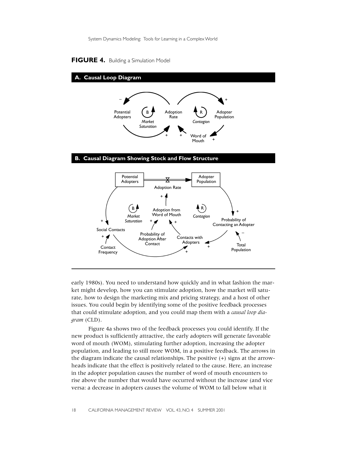## **FIGURE 4.** Building a Simulation Model



#### **B. Causal Diagram Showing Stock and Flow Structure**



early 1980s). You need to understand how quickly and in what fashion the market might develop, how you can stimulate adoption, how the market will saturate, how to design the marketing mix and pricing strategy, and a host of other issues. You could begin by identifying some of the positive feedback processes that could stimulate adoption, and you could map them with a *causal loop diagram* (CLD).

Figure 4a shows two of the feedback processes you could identify. If the new product is sufficiently attractive, the early adopters will generate favorable word of mouth (WOM), stimulating further adoption, increasing the adopter population, and leading to still more WOM, in a positive feedback. The arrows in the diagram indicate the causal relationships. The positive (+) signs at the arrowheads indicate that the effect is positively related to the cause. Here, an increase in the adopter population causes the number of word of mouth encounters to rise above the number that would have occurred without the increase (and vice versa: a decrease in adopters causes the volume of WOM to fall below what it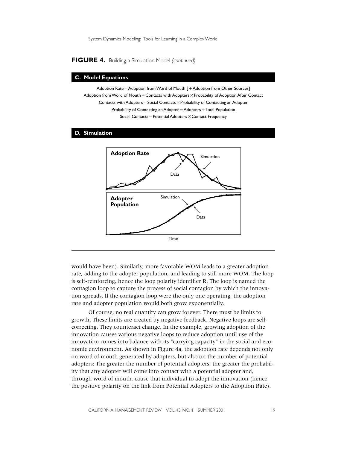### **FIGURE 4.** Building a Simulation Model *(continued)*

### **Model Equations**

Adoption Rate=Adoption from Word of Mouth [+Adoption from Other Sources] Adoption from Word of Mouth = Contacts with Adopters  $\times$  Probability of Adoption After Contact Contacts with Adopters  $=$  Social Contacts $\times$ Probability of Contacting an Adopter Probability of Contacting an Adopter  $=$  Adopters  $\div$  Total Population Social Contacts = Potential Adopters  $\times$  Contact Frequency

#### **D. Simulation**



would have been). Similarly, more favorable WOM leads to a greater adoption rate, adding to the adopter population, and leading to still more WOM. The loop is self-reinforcing, hence the loop polarity identifier R. The loop is named the contagion loop to capture the process of social contagion by which the innovation spreads. If the contagion loop were the only one operating, the adoption rate and adopter population would both grow exponentially.

Of course, no real quantity can grow forever. There must be limits to growth. These limits are created by negative feedback. Negative loops are selfcorrecting. They counteract change. In the example, growing adoption of the innovation causes various negative loops to reduce adoption until use of the innovation comes into balance with its "carrying capacity" in the social and economic environment. As shown in Figure 4a, the adoption rate depends not only on word of mouth generated by adopters, but also on the number of potential adopters: The greater the number of potential adopters, the greater the probability that any adopter will come into contact with a potential adopter and, through word of mouth, cause that individual to adopt the innovation (hence the positive polarity on the link from Potential Adopters to the Adoption Rate).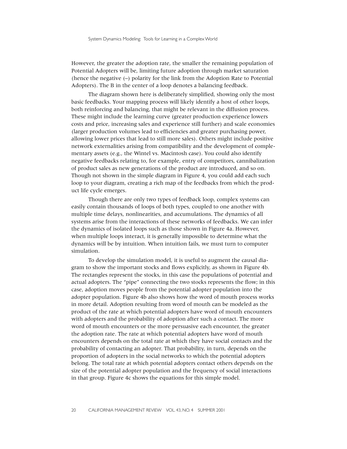However, the greater the adoption rate, the smaller the remaining population of Potential Adopters will be, limiting future adoption through market saturation (hence the negative (–) polarity for the link from the Adoption Rate to Potential Adopters). The B in the center of a loop denotes a balancing feedback.

The diagram shown here is deliberately simplified, showing only the most basic feedbacks. Your mapping process will likely identify a host of other loops, both reinforcing and balancing, that might be relevant in the diffusion process. These might include the learning curve (greater production experience lowers costs and price, increasing sales and experience still further) and scale economies (larger production volumes lead to efficiencies and greater purchasing power, allowing lower prices that lead to still more sales). Others might include positive network externalities arising from compatibility and the development of complementary assets (e.g., the Wintel vs. Macintosh case). You could also identify negative feedbacks relating to, for example, entry of competitors, cannibalization of product sales as new generations of the product are introduced, and so on. Though not shown in the simple diagram in Figure 4, you could add each such loop to your diagram, creating a rich map of the feedbacks from which the product life cycle emerges.

Though there are only two types of feedback loop, complex systems can easily contain thousands of loops of both types, coupled to one another with multiple time delays, nonlinearities, and accumulations. The dynamics of all systems arise from the interactions of these networks of feedbacks. We can infer the dynamics of isolated loops such as those shown in Figure 4a. However, when multiple loops interact, it is generally impossible to determine what the dynamics will be by intuition. When intuition fails, we must turn to computer simulation.

To develop the simulation model, it is useful to augment the causal diagram to show the important stocks and flows explicitly, as shown in Figure 4b. The rectangles represent the stocks, in this case the populations of potential and actual adopters. The "pipe" connecting the two stocks represents the flow; in this case, adoption moves people from the potential adopter population into the adopter population. Figure 4b also shows how the word of mouth process works in more detail. Adoption resulting from word of mouth can be modeled as the product of the rate at which potential adopters have word of mouth encounters with adopters and the probability of adoption after such a contact. The more word of mouth encounters or the more persuasive each encounter, the greater the adoption rate. The rate at which potential adopters have word of mouth encounters depends on the total rate at which they have social contacts and the probability of contacting an adopter. That probability, in turn, depends on the proportion of adopters in the social networks to which the potential adopters belong. The total rate at which potential adopters contact others depends on the size of the potential adopter population and the frequency of social interactions in that group. Figure 4c shows the equations for this simple model.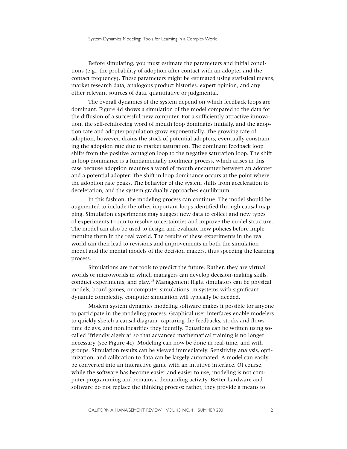Before simulating, you must estimate the parameters and initial conditions (e.g., the probability of adoption after contact with an adopter and the contact frequency). These parameters might be estimated using statistical means, market research data, analogous product histories, expert opinion, and any other relevant sources of data, quantitative or judgmental.

The overall dynamics of the system depend on which feedback loops are dominant. Figure 4d shows a simulation of the model compared to the data for the diffusion of a successful new computer. For a sufficiently attractive innovation, the self-reinforcing word of mouth loop dominates initially, and the adoption rate and adopter population grow exponentially. The growing rate of adoption, however, drains the stock of potential adopters, eventually constraining the adoption rate due to market saturation. The dominant feedback loop shifts from the positive contagion loop to the negative saturation loop. The shift in loop dominance is a fundamentally nonlinear process, which arises in this case because adoption requires a word of mouth encounter between an adopter and a potential adopter. The shift in loop dominance occurs at the point where the adoption rate peaks. The behavior of the system shifts from acceleration to deceleration, and the system gradually approaches equilibrium.

In this fashion, the modeling process can continue. The model should be augmented to include the other important loops identified through causal mapping. Simulation experiments may suggest new data to collect and new types of experiments to run to resolve uncertainties and improve the model structure. The model can also be used to design and evaluate new policies before implementing them in the real world. The results of these experiments in the real world can then lead to revisions and improvements in both the simulation model and the mental models of the decision makers, thus speeding the learning process.

Simulations are not tools to predict the future. Rather, they are virtual worlds or microworlds in which managers can develop decision-making skills, conduct experiments, and play.<sup>15</sup> Management flight simulators can be physical models, board games, or computer simulations. In systems with significant dynamic complexity, computer simulation will typically be needed.

Modern system dynamics modeling software makes it possible for anyone to participate in the modeling process. Graphical user interfaces enable modelers to quickly sketch a causal diagram, capturing the feedbacks, stocks and flows, time delays, and nonlinearities they identify. Equations can be written using socalled "friendly algebra" so that advanced mathematical training is no longer necessary (see Figure 4c). Modeling can now be done in real-time, and with groups. Simulation results can be viewed immediately. Sensitivity analysis, optimization, and calibration to data can be largely automated. A model can easily be converted into an interactive game with an intuitive interface. Of course, while the software has become easier and easier to use, modeling is not computer programming and remains a demanding activity. Better hardware and software do not replace the thinking process; rather, they provide a means to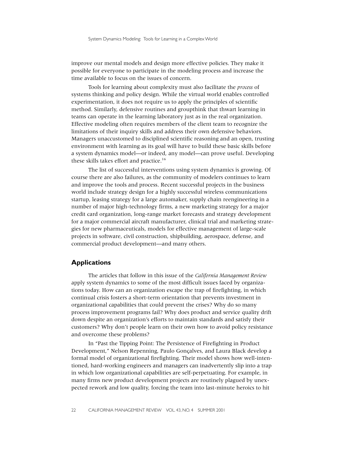improve our mental models and design more effective policies. They make it possible for everyone to participate in the modeling process and increase the time available to focus on the issues of concern.

Tools for learning about complexity must also facilitate the *process* of systems thinking and policy design. While the virtual world enables controlled experimentation, it does not require us to apply the principles of scientific method. Similarly, defensive routines and groupthink that thwart learning in teams can operate in the learning laboratory just as in the real organization. Effective modeling often requires members of the client team to recognize the limitations of their inquiry skills and address their own defensive behaviors. Managers unaccustomed to disciplined scientific reasoning and an open, trusting environment with learning as its goal will have to build these basic skills before a system dynamics model—or indeed, any model—can prove useful. Developing these skills takes effort and practice.<sup>16</sup>

The list of successful interventions using system dynamics is growing. Of course there are also failures, as the community of modelers continues to learn and improve the tools and process. Recent successful projects in the business world include strategy design for a highly successful wireless communications startup, leasing strategy for a large automaker, supply chain reengineering in a number of major high-technology firms, a new marketing strategy for a major credit card organization, long-range market forecasts and strategy development for a major commercial aircraft manufacturer, clinical trial and marketing strategies for new pharmaceuticals, models for effective management of large-scale projects in software, civil construction, shipbuilding, aerospace, defense, and commercial product development—and many others.

## **Applications**

The articles that follow in this issue of the *California Management Review* apply system dynamics to some of the most difficult issues faced by organizations today. How can an organization escape the trap of firefighting, in which continual crisis fosters a short-term orientation that prevents investment in organizational capabilities that could prevent the crises? Why do so many process improvement programs fail? Why does product and service quality drift down despite an organization's efforts to maintain standards and satisfy their customers? Why don't people learn on their own how to avoid policy resistance and overcome these problems?

In "Past the Tipping Point: The Persistence of Firefighting in Product Development," Nelson Repenning, Paulo Gonçalves, and Laura Black develop a formal model of organizational firefighting. Their model shows how well-intentioned, hard-working engineers and managers can inadvertently slip into a trap in which low organizational capabilities are self-perpetuating. For example, in many firms new product development projects are routinely plagued by unexpected rework and low quality, forcing the team into last-minute heroics to hit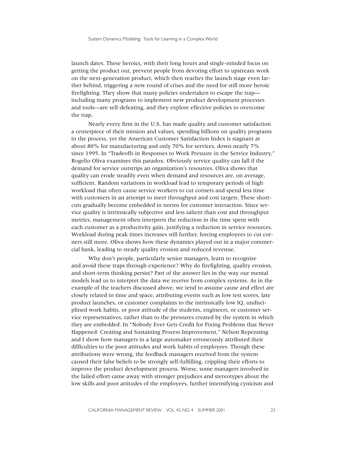launch dates. These heroics, with their long hours and single-minded focus on getting the product out, prevent people from devoting effort to upstream work on the next-generation product, which then reaches the launch stage even farther behind, triggering a new round of crises and the need for still more heroic firefighting. They show that many policies undertaken to escape the trap including many programs to implement new product development processes and tools—are self-defeating, and they explore effective policies to overcome the trap.

Nearly every firm in the U.S. has made quality and customer satisfaction a centerpiece of their mission and values, spending billions on quality programs in the process, yet the American Customer Satisfaction Index is stagnant at about 80% for manufacturing and only 70% for services, down nearly 7% since 1995. In "Tradeoffs in Responses to Work Pressure in the Service Industry," Rogelio Oliva examines this paradox. Obviously service quality can fall if the demand for service outstrips an organization's resources. Oliva shows that quality can erode steadily even when demand and resources are, on average, sufficient. Random variations in workload lead to temporary periods of high workload that often cause service workers to cut corners and spend less time with customers in an attempt to meet throughput and cost targets. These shortcuts gradually become embedded in norms for customer interaction. Since service quality is intrinsically subjective and less salient than cost and throughput metrics, management often interprets the reduction in the time spent with each customer as a productivity gain, justifying a reduction in service resources. Workload during peak times increases still further, forcing employees to cut corners still more. Oliva shows how these dynamics played out in a major commercial bank, leading to steady quality erosion and reduced revenue.

Why don't people, particularly senior managers, learn to recognize and avoid these traps through experience? Why do firefighting, quality erosion, and short-term thinking persist? Part of the answer lies in the way our mental models lead us to interpret the data we receive from complex systems. As in the example of the teachers discussed above, we tend to assume cause and effect are closely related in time and space, attributing events such as low test scores, late product launches, or customer complaints to the intrinsically low IQ, undisciplined work habits, or poor attitude of the students, engineers, or customer service representatives, rather than to the pressures created by the system in which they are embedded. In "Nobody Ever Gets Credit for Fixing Problems that Never Happened: Creating and Sustaining Process Improvement," Nelson Repenning and I show how managers in a large automaker erroneously attributed their difficulties to the poor attitudes and work habits of employees. Though these attributions were wrong, the feedback managers received from the system caused their false beliefs to be strongly self-fulfilling, crippling their efforts to improve the product development process. Worse, some managers involved in the failed effort came away with stronger prejudices and stereotypes about the low skills and poor attitudes of the employees, further intensifying cynicism and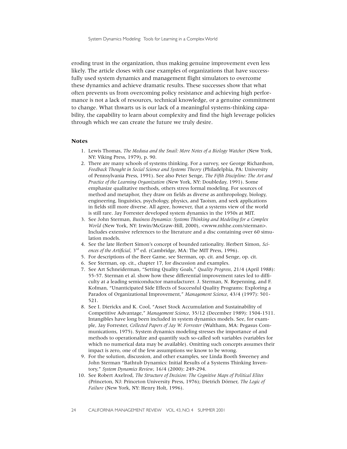eroding trust in the organization, thus making genuine improvement even less likely. The article closes with case examples of organizations that have successfully used system dynamics and management flight simulators to overcome these dynamics and achieve dramatic results. These successes show that what often prevents us from overcoming policy resistance and achieving high performance is not a lack of resources, technical knowledge, or a genuine commitment to change. What thwarts us is our lack of a meaningful systems-thinking capability, the capability to learn about complexity and find the high leverage policies through which we can create the future we truly desire.

### **Notes**

- 1. Lewis Thomas, *The Medusa and the Snail: More Notes of a Biology Watcher* (New York, NY: Viking Press, 1979), p. 90.
- 2. There are many schools of systems thinking. For a survey, see George Richardson, *Feedback Thought in Social Science and Systems Theory* (Philadelphia, PA: University of Pennsylvania Press, 1991). See also Peter Senge, *The Fifth Discipline: The Art and Practice of the Learning Organization* (New York, NY: Doubleday, 1991). Some emphasize qualitative methods, others stress formal modeling. For sources of method and metaphor, they draw on fields as diverse as anthropology, biology, engineering, linguistics, psychology, physics, and Taoism, and seek applications in fields still more diverse. All agree, however, that a systems view of the world is still rare. Jay Forrester developed system dynamics in the 1950s at MIT.
- 3. See John Sterman, *Business Dynamics: Systems Thinking and Modeling for a Complex World* (New York, NY: Irwin/McGraw-Hill, 2000), <www.mhhe.com/sterman>. Includes extensive references to the literature and a disc containing over 60 simulation models.
- 4. See the late Herbert Simon's concept of bounded rationality. Herbert Simon, *Sciences of the Artificial*, 3rd ed. (Cambridge, MA: The MIT Press, 1996).
- 5. For descriptions of the Beer Game, see Sterman, op. cit. and Senge, op. cit.
- 6. See Sterman, op. cit., chapter 17, for discussion and examples.
- 7. See Art Schneiderman, "Setting Quality Goals," *Quality Progress*, 21/4 (April 1988): 55-57. Sterman et al. show how these differential improvement rates led to difficulty at a leading semiconductor manufacturer. J. Sterman, N. Repenning, and F. Kofman, "Unanticipated Side Effects of Successful Quality Programs: Exploring a Paradox of Organizational Improvement," *Management Science*, 43/4 (1997): 501- 521.
- 8. See I. Dierickx and K. Cool, "Asset Stock Accumulation and Sustainability of Competitive Advantage," *Management Science*, 35/12 (December 1989): 1504-1511. Intangibles have long been included in system dynamics models. See, for example, Jay Forrester, *Collected Papers of Jay W. Forrester* (Waltham, MA: Pegasus Communications, 1975). System dynamics modeling stresses the importance of and methods to operationalize and quantify such so-called soft variables (variables for which no numerical data may be available). Omitting such concepts assumes their impact is zero, one of the few assumptions we know to be wrong.
- 9. For the solution, discussion, and other examples, see Linda Booth Sweeney and John Sterman "Bathtub Dynamics: Initial Results of a Systems Thinking Inventory," *System Dynamics Review*, 16/4 (2000): 249-294.
- 10. See Robert Axelrod, *The Structure of Decision: The Cognitive Maps of Political Elites* (Princeton, NJ: Princeton University Press, 1976); Dietrich Dörner, *The Logic of Failure* (New York, NY: Henry Holt, 1996).